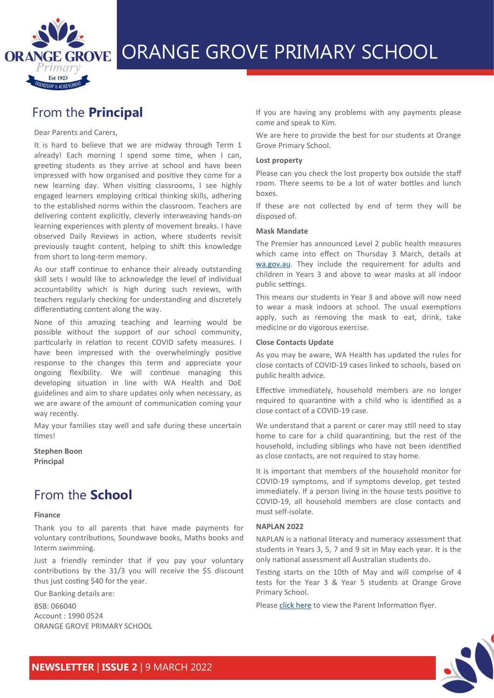

# ORANGE GROVE ORANGE GROVE PRIMARY SCHOOL

## From the **Principal**

### Dear Parents and Carers,

It is hard to believe that we are midway through Term 1 already! Each morning I spend some time, when I can, greeting students as they arrive at school and have been impressed with how organised and positive they come for a new learning day. When visiting classrooms, I see highly engaged learners employing critical thinking skills, adhering to the established norms within the classroom. Teachers are delivering content explicitly, cleverly interweaving hands-on learning experiences with plenty of movement breaks. I have observed Daily Reviews in action, where students revisit previously taught content, helping to shift this knowledge from short to long-term memory.

As our staff continue to enhance their already outstanding skill sets I would like to acknowledge the level of individual accountability which is high during such reviews, with teachers regularly checking for understanding and discretely differentiating content along the way.

None of this amazing teaching and learning would be possible without the support of our school community, particularly in relation to recent COVID safety measures. I have been impressed with the overwhelmingly positive response to the changes this term and appreciate your ongoing flexibility. We will continue managing this developing situation in line with WA Health and DoE guidelines and aim to share updates only when necessary, as we are aware of the amount of communication coming your way recently.

May your families stay well and safe during these uncertain times!

**Stephen Boon Principal**

### From the **School**

#### **Finance**

Thank you to all parents that have made payments for voluntary contributions, Soundwave books, Maths books and Interm swimming.

Just a friendly reminder that if you pay your voluntary contributions by the 31/3 you will receive the \$5 discount thus just costing \$40 for the year.

Our Banking details are:

BSB: 066040

Account : 1990 0524 ORANGE GROVE PRIMARY SCHOOL If you are having any problems with any payments please come and speak to Kim.

We are here to provide the best for our students at Orange Grove Primary School.

#### **Lost property**

Please can you check the lost property box outside the staff room. There seems to be a lot of water bottles and lunch boxes.

If these are not collected by end of term they will be disposed of.

#### **Mask Mandate**

The Premier has announced Level 2 public health measures which came into effect on Thursday 3 March, details at [wa.gov.au.](https://www.wa.gov.au/) They include the requirement for adults and children in Years 3 and above to wear masks at all indoor public settings.

This means our students in Year 3 and above will now need to wear a mask indoors at school. The usual exemptions apply, such as removing the mask to eat, drink, take medicine or do vigorous exercise.

#### **Close Contacts Update**

As you may be aware, WA Health has updated the rules for close contacts of COVID-19 cases linked to schools, based on public health advice.

Effective immediately, household members are no longer required to quarantine with a child who is identified as a close contact of a COVID-19 case.

We understand that a parent or carer may still need to stay home to care for a child quarantining, but the rest of the household, including siblings who have not been identified as close contacts, are not required to stay home.

It is important that members of the household monitor for COVID-19 symptoms, and if symptoms develop, get tested immediately. If a person living in the house tests positive to COVID-19, all household members are close contacts and must self-isolate.

### **NAPLAN 2022**

NAPLAN is a national literacy and numeracy assessment that students in Years 3, 5, 7 and 9 sit in May each year. It is the only national assessment all Australian students do.

Testing starts on the 10th of May and will comprise of 4 tests for the Year 3 & Year 5 students at Orange Grove Primary School.

Please [click here](https://www.ogps.wa.edu.au/wp-content/uploads/2022/03/NAPLAN-2022-Parent-Information.pdf) to view the Parent Information flyer.

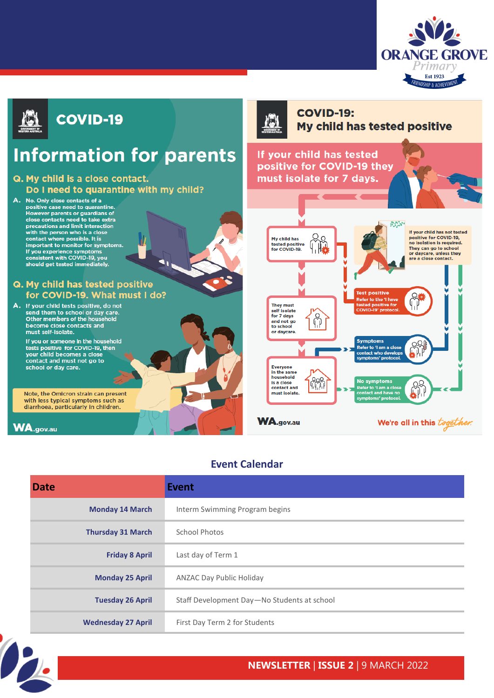



### **Event Calendar**

| <b>Date</b>               | Event                                       |
|---------------------------|---------------------------------------------|
| <b>Monday 14 March</b>    | Interm Swimming Program begins              |
| <b>Thursday 31 March</b>  | School Photos                               |
| <b>Friday 8 April</b>     | Last day of Term 1                          |
| <b>Monday 25 April</b>    | <b>ANZAC Day Public Holiday</b>             |
| <b>Tuesday 26 April</b>   | Staff Development Day-No Students at school |
| <b>Wednesday 27 April</b> | First Day Term 2 for Students               |



### **NEWSLETTER** | **ISSUE 2** | 9 MARCH 2022